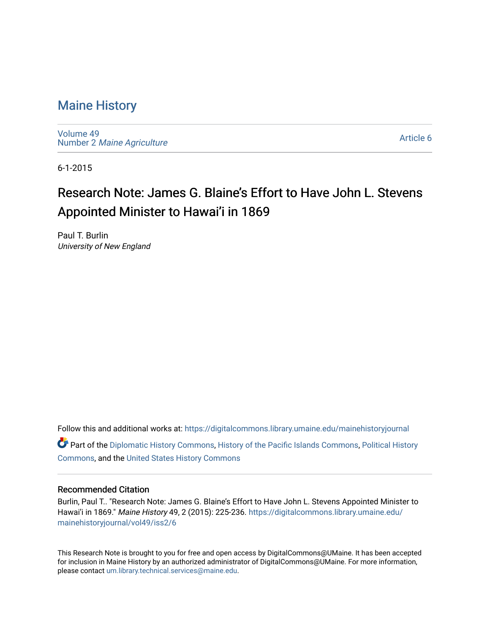### [Maine History](https://digitalcommons.library.umaine.edu/mainehistoryjournal)

[Volume 49](https://digitalcommons.library.umaine.edu/mainehistoryjournal/vol49) Number 2 [Maine Agriculture](https://digitalcommons.library.umaine.edu/mainehistoryjournal/vol49/iss2)

[Article 6](https://digitalcommons.library.umaine.edu/mainehistoryjournal/vol49/iss2/6) 

6-1-2015

# Research Note: James G. Blaine's Effort to Have John L. Stevens Appointed Minister to Hawai'i in 1869

Paul T. Burlin University of New England

Follow this and additional works at: [https://digitalcommons.library.umaine.edu/mainehistoryjournal](https://digitalcommons.library.umaine.edu/mainehistoryjournal?utm_source=digitalcommons.library.umaine.edu%2Fmainehistoryjournal%2Fvol49%2Fiss2%2F6&utm_medium=PDF&utm_campaign=PDFCoverPages)  Part of the [Diplomatic History Commons,](http://network.bepress.com/hgg/discipline/497?utm_source=digitalcommons.library.umaine.edu%2Fmainehistoryjournal%2Fvol49%2Fiss2%2F6&utm_medium=PDF&utm_campaign=PDFCoverPages) [History of the Pacific Islands Commons](http://network.bepress.com/hgg/discipline/1313?utm_source=digitalcommons.library.umaine.edu%2Fmainehistoryjournal%2Fvol49%2Fiss2%2F6&utm_medium=PDF&utm_campaign=PDFCoverPages), [Political History](http://network.bepress.com/hgg/discipline/505?utm_source=digitalcommons.library.umaine.edu%2Fmainehistoryjournal%2Fvol49%2Fiss2%2F6&utm_medium=PDF&utm_campaign=PDFCoverPages) [Commons](http://network.bepress.com/hgg/discipline/505?utm_source=digitalcommons.library.umaine.edu%2Fmainehistoryjournal%2Fvol49%2Fiss2%2F6&utm_medium=PDF&utm_campaign=PDFCoverPages), and the [United States History Commons](http://network.bepress.com/hgg/discipline/495?utm_source=digitalcommons.library.umaine.edu%2Fmainehistoryjournal%2Fvol49%2Fiss2%2F6&utm_medium=PDF&utm_campaign=PDFCoverPages) 

### Recommended Citation

Burlin, Paul T.. "Research Note: James G. Blaine's Effort to Have John L. Stevens Appointed Minister to Hawai'i in 1869." Maine History 49, 2 (2015): 225-236. [https://digitalcommons.library.umaine.edu/](https://digitalcommons.library.umaine.edu/mainehistoryjournal/vol49/iss2/6?utm_source=digitalcommons.library.umaine.edu%2Fmainehistoryjournal%2Fvol49%2Fiss2%2F6&utm_medium=PDF&utm_campaign=PDFCoverPages) [mainehistoryjournal/vol49/iss2/6](https://digitalcommons.library.umaine.edu/mainehistoryjournal/vol49/iss2/6?utm_source=digitalcommons.library.umaine.edu%2Fmainehistoryjournal%2Fvol49%2Fiss2%2F6&utm_medium=PDF&utm_campaign=PDFCoverPages)

This Research Note is brought to you for free and open access by DigitalCommons@UMaine. It has been accepted for inclusion in Maine History by an authorized administrator of DigitalCommons@UMaine. For more information, please contact [um.library.technical.services@maine.edu.](mailto:um.library.technical.services@maine.edu)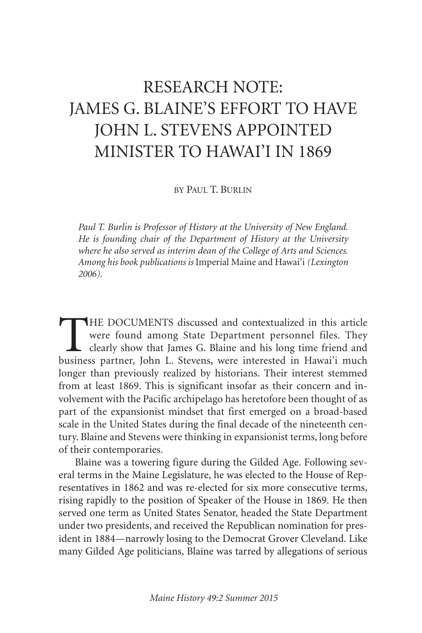# RESEARCH NOTE: JAMES G. BLAINE'S EFFORT TO HAVE JOHN L. STEVENS APPOINTED MINISTER TO HAWAI'I IN 1869

BY PAUL T. BURLIN

*Paul T. Burlin is Professor of History at the University of New England. He is founding chair of the Department of History at the University where he also served as interim dean of the College of Arts and Sciences. Among his book publications is* Imperial Maine and Hawai'i *(Lexington 2006).*

THE DOCUMENTS discussed and contextualized in this article were found among State Department personnel files. They clearly show that James G. Blaine and his long time friend and business partner, John L. Stevens, were interested in Hawai'i much longer than previously realized by historians. Their interest stemmed from at least 1869. This is significant insofar as their concern and involvement with the Pacific archipelago has heretofore been thought of as part of the expansionist mindset that first emerged on a broad-based scale in the United States during the final decade of the nineteenth century. Blaine and Stevens were thinking in expansionist terms, long before of their contemporaries.

Blaine was a towering figure during the Gilded Age. Following several terms in the Maine Legislature, he was elected to the House of Representatives in 1862 and was re-elected for six more consecutive terms, rising rapidly to the position of Speaker of the House in 1869. He then served one term as United States Senator, headed the State Department under two presidents, and received the Republican nomination for president in 1884—narrowly losing to the Democrat Grover Cleveland. Like many Gilded Age politicians, Blaine was tarred by allegations of serious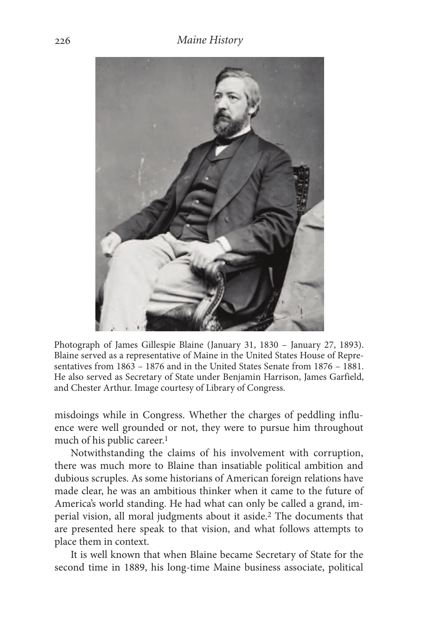

Photograph of James Gillespie Blaine (January 31, 1830 – January 27, 1893). Blaine served as a representative of Maine in the United States House of Representatives from 1863 – 1876 and in the United States Senate from 1876 – 1881. He also served as Secretary of State under Benjamin Harrison, James Garfield, and Chester Arthur. Image courtesy of Library of Congress.

misdoings while in Congress. Whether the charges of peddling influence were well grounded or not, they were to pursue him throughout much of his public career. 1

Notwithstanding the claims of his involvement with corruption, there was much more to Blaine than insatiable political ambition and dubious scruples. As some historians of American foreign relations have made clear, he was an ambitious thinker when it came to the future of America's world standing. He had what can only be called a grand, imperial vision, all moral judgments about it aside. 2 The documents that are presented here speak to that vision, and what follows attempts to place them in context.

It is well known that when Blaine became Secretary of State for the second time in 1889, his long-time Maine business associate, political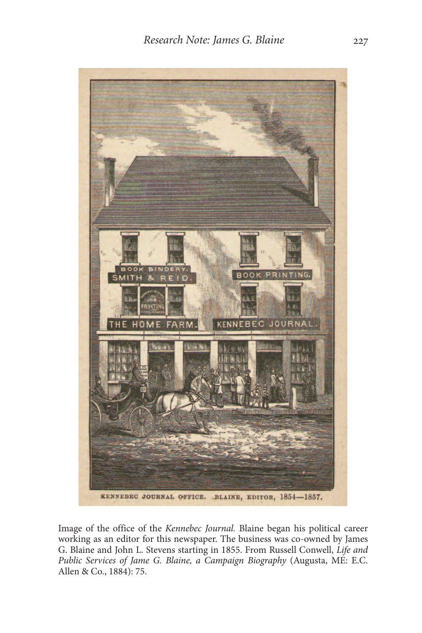

Image of the office of the *Kennebec Journal.* Blaine began his political career working as an editor for this newspaper. The business was co-owned by James G. Blaine and John L. Stevens starting in 1855. From Russell Conwell, *Life and Public Services of Jame G. Blaine, a Campaign Biography* (Augusta, ME: E.C. Allen & Co., 1884): 75.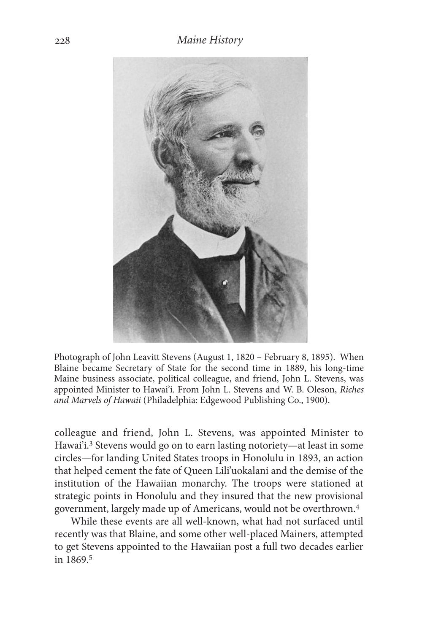

Photograph of John Leavitt Stevens (August 1, 1820 – February 8, 1895). When Blaine became Secretary of State for the second time in 1889, his long-time Maine business associate, political colleague, and friend, John L. Stevens, was appointed Minister to Hawai'i. From John L. Stevens and W. B. Oleson, *Riches and Marvels of Hawaii* (Philadelphia: Edgewood Publishing Co., 1900).

colleague and friend, John L. Stevens, was appointed Minister to Hawai'i. 3 Stevens would go on to earn lasting notoriety—at least in some circles—for landing United States troops in Honolulu in 1893, an action that helped cement the fate of Queen Lili'uokalani and the demise of the institution of the Hawaiian monarchy. The troops were stationed at strategic points in Honolulu and they insured that the new provisional government, largely made up of Americans, would not be overthrown. 4

While these events are all well-known, what had not surfaced until recently was that Blaine, and some other well-placed Mainers, attempted to get Stevens appointed to the Hawaiian post a full two decades earlier in 1869. 5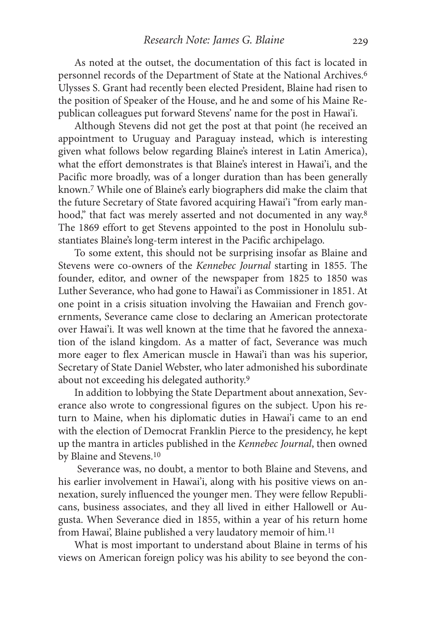As noted at the outset, the documentation of this fact is located in personnel records of the Department of State at the National Archives. 6 Ulysses S. Grant had recently been elected President, Blaine had risen to the position of Speaker of the House, and he and some of his Maine Republican colleagues put forward Stevens' name for the post in Hawai'i.

Although Stevens did not get the post at that point (he received an appointment to Uruguay and Paraguay instead, which is interesting given what follows below regarding Blaine's interest in Latin America), what the effort demonstrates is that Blaine's interest in Hawai'i, and the Pacific more broadly, was of a longer duration than has been generally known. 7 While one of Blaine's early biographers did make the claim that the future Secretary of State favored acquiring Hawai'i "from early manhood," that fact was merely asserted and not documented in any way. 8 The 1869 effort to get Stevens appointed to the post in Honolulu substantiates Blaine's long-term interest in the Pacific archipelago.

To some extent, this should not be surprising insofar as Blaine and Stevens were co-owners of the *Kennebec Journal* starting in 1855. The founder, editor, and owner of the newspaper from 1825 to 1850 was Luther Severance, who had gone to Hawai'i as Commissioner in 1851. At one point in a crisis situation involving the Hawaiian and French governments, Severance came close to declaring an American protectorate over Hawai'i. It was well known at the time that he favored the annexation of the island kingdom. As a matter of fact, Severance was much more eager to flex American muscle in Hawai'i than was his superior, Secretary of State Daniel Webster, who later admonished his subordinate about not exceeding his delegated authority. 9

In addition to lobbying the State Department about annexation, Severance also wrote to congressional figures on the subject. Upon his return to Maine, when his diplomatic duties in Hawai'i came to an end with the election of Democrat Franklin Pierce to the presidency, he kept up the mantra in articles published in the *Kennebec Journal*, then owned by Blaine and Stevens. 10

Severance was, no doubt, a mentor to both Blaine and Stevens, and his earlier involvement in Hawai'i, along with his positive views on annexation, surely influenced the younger men. They were fellow Republicans, business associates, and they all lived in either Hallowell or Augusta. When Severance died in 1855, within a year of his return home from Hawai', Blaine published a very laudatory memoir of him.<sup>11</sup>

What is most important to understand about Blaine in terms of his views on American foreign policy was his ability to see beyond the con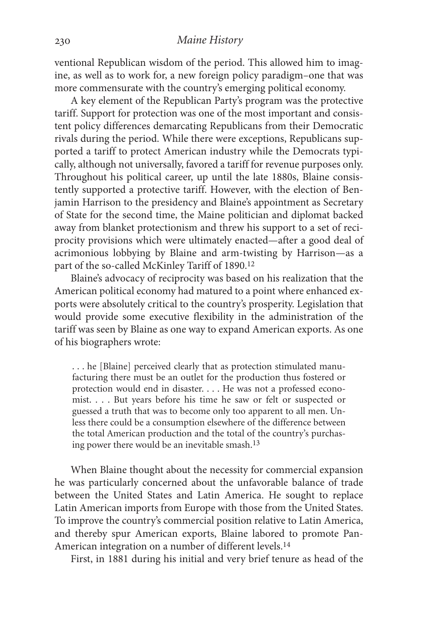ventional Republican wisdom of the period. This allowed him to imagine, as well as to work for, a new foreign policy paradigm–one that was more commensurate with the country's emerging political economy.

A key element of the Republican Party's program was the protective tariff. Support for protection was one of the most important and consistent policy differences demarcating Republicans from their Democratic rivals during the period. While there were exceptions, Republicans supported a tariff to protect American industry while the Democrats typically, although not universally, favored a tariff for revenue purposes only. Throughout his political career, up until the late 1880s, Blaine consistently supported a protective tariff. However, with the election of Benjamin Harrison to the presidency and Blaine's appointment as Secretary of State for the second time, the Maine politician and diplomat backed away from blanket protectionism and threw his support to a set of reciprocity provisions which were ultimately enacted—after a good deal of acrimonious lobbying by Blaine and arm-twisting by Harrison—as a part of the so-called McKinley Tariff of 1890. 12

Blaine's advocacy of reciprocity was based on his realization that the American political economy had matured to a point where enhanced exports were absolutely critical to the country's prosperity. Legislation that would provide some executive flexibility in the administration of the tariff was seen by Blaine as one way to expand American exports. As one of his biographers wrote:

. . . he [Blaine] perceived clearly that as protection stimulated manufacturing there must be an outlet for the production thus fostered or protection would end in disaster. . . . He was not a professed economist. . . . But years before his time he saw or felt or suspected or guessed a truth that was to become only too apparent to all men. Unless there could be a consumption elsewhere of the difference between the total American production and the total of the country's purchasing power there would be an inevitable smash. 13

When Blaine thought about the necessity for commercial expansion he was particularly concerned about the unfavorable balance of trade between the United States and Latin America. He sought to replace Latin American imports from Europe with those from the United States. To improve the country's commercial position relative to Latin America, and thereby spur American exports, Blaine labored to promote Pan-American integration on a number of different levels. 14

First, in 1881 during his initial and very brief tenure as head of the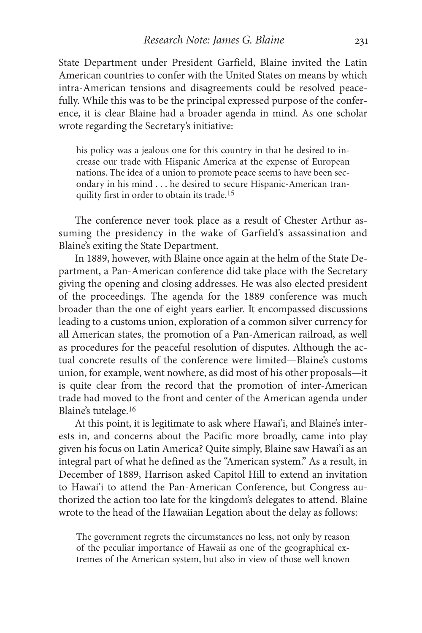State Department under President Garfield, Blaine invited the Latin American countries to confer with the United States on means by which intra-American tensions and disagreements could be resolved peacefully. While this was to be the principal expressed purpose of the conference, it is clear Blaine had a broader agenda in mind. As one scholar wrote regarding the Secretary's initiative:

his policy was a jealous one for this country in that he desired to increase our trade with Hispanic America at the expense of European nations. The idea of a union to promote peace seems to have been secondary in his mind . . . he desired to secure Hispanic-American tranquility first in order to obtain its trade. 15

The conference never took place as a result of Chester Arthur assuming the presidency in the wake of Garfield's assassination and Blaine's exiting the State Department.

In 1889, however, with Blaine once again at the helm of the State Department, a Pan-American conference did take place with the Secretary giving the opening and closing addresses. He was also elected president of the proceedings. The agenda for the 1889 conference was much broader than the one of eight years earlier. It encompassed discussions leading to a customs union, exploration of a common silver currency for all American states, the promotion of a Pan-American railroad, as well as procedures for the peaceful resolution of disputes. Although the actual concrete results of the conference were limited—Blaine's customs union, for example, went nowhere, as did most of his other proposals—it is quite clear from the record that the promotion of inter-American trade had moved to the front and center of the American agenda under Blaine's tutelage. 16

At this point, it is legitimate to ask where Hawai'i, and Blaine's interests in, and concerns about the Pacific more broadly, came into play given his focus on Latin America? Quite simply, Blaine saw Hawai'i as an integral part of what he defined as the "American system." As a result, in December of 1889, Harrison asked Capitol Hill to extend an invitation to Hawai'i to attend the Pan-American Conference, but Congress authorized the action too late for the kingdom's delegates to attend. Blaine wrote to the head of the Hawaiian Legation about the delay as follows:

The government regrets the circumstances no less, not only by reason of the peculiar importance of Hawaii as one of the geographical extremes of the American system, but also in view of those well known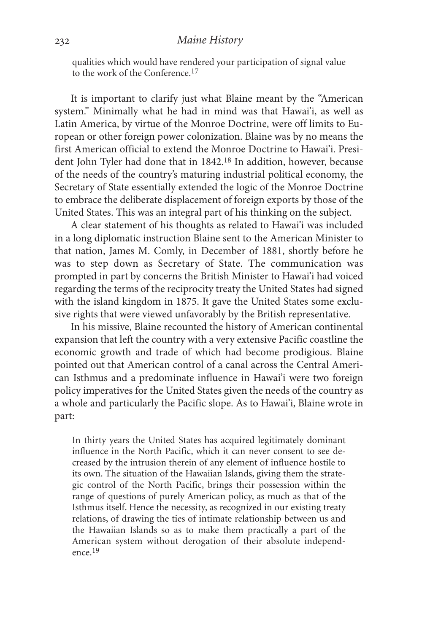qualities which would have rendered your participation of signal value to the work of the Conference. 17

It is important to clarify just what Blaine meant by the "American system." Minimally what he had in mind was that Hawai'i, as well as Latin America, by virtue of the Monroe Doctrine, were off limits to European or other foreign power colonization. Blaine was by no means the first American official to extend the Monroe Doctrine to Hawai'i. President John Tyler had done that in 1842. 18 In addition, however, because of the needs of the country's maturing industrial political economy, the Secretary of State essentially extended the logic of the Monroe Doctrine to embrace the deliberate displacement of foreign exports by those of the United States. This was an integral part of his thinking on the subject.

A clear statement of his thoughts as related to Hawai'i was included in a long diplomatic instruction Blaine sent to the American Minister to that nation, James M. Comly, in December of 1881, shortly before he was to step down as Secretary of State. The communication was prompted in part by concerns the British Minister to Hawai'i had voiced regarding the terms of the reciprocity treaty the United States had signed with the island kingdom in 1875. It gave the United States some exclusive rights that were viewed unfavorably by the British representative.

In his missive, Blaine recounted the history of American continental expansion that left the country with a very extensive Pacific coastline the economic growth and trade of which had become prodigious. Blaine pointed out that American control of a canal across the Central American Isthmus and a predominate influence in Hawai'i were two foreign policy imperatives for the United States given the needs of the country as a whole and particularly the Pacific slope. As to Hawai'i, Blaine wrote in part:

In thirty years the United States has acquired legitimately dominant influence in the North Pacific, which it can never consent to see decreased by the intrusion therein of any element of influence hostile to its own. The situation of the Hawaiian Islands, giving them the strategic control of the North Pacific, brings their possession within the range of questions of purely American policy, as much as that of the Isthmus itself. Hence the necessity, as recognized in our existing treaty relations, of drawing the ties of intimate relationship between us and the Hawaiian Islands so as to make them practically a part of the American system without derogation of their absolute independence. 19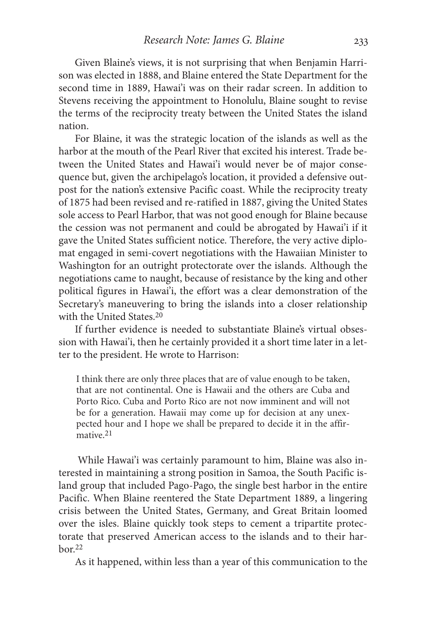Given Blaine's views, it is not surprising that when Benjamin Harrison was elected in 1888, and Blaine entered the State Department for the second time in 1889, Hawai'i was on their radar screen. In addition to Stevens receiving the appointment to Honolulu, Blaine sought to revise the terms of the reciprocity treaty between the United States the island nation.

For Blaine, it was the strategic location of the islands as well as the harbor at the mouth of the Pearl River that excited his interest. Trade between the United States and Hawai'i would never be of major consequence but, given the archipelago's location, it provided a defensive outpost for the nation's extensive Pacific coast. While the reciprocity treaty of 1875 had been revised and re-ratified in 1887, giving the United States sole access to Pearl Harbor, that was not good enough for Blaine because the cession was not permanent and could be abrogated by Hawai'i if it gave the United States sufficient notice. Therefore, the very active diplomat engaged in semi-covert negotiations with the Hawaiian Minister to Washington for an outright protectorate over the islands. Although the negotiations came to naught, because of resistance by the king and other political figures in Hawai'i, the effort was a clear demonstration of the Secretary's maneuvering to bring the islands into a closer relationship with the United States. 20

If further evidence is needed to substantiate Blaine's virtual obsession with Hawai'i, then he certainly provided it a short time later in a letter to the president. He wrote to Harrison:

I think there are only three places that are of value enough to be taken, that are not continental. One is Hawaii and the others are Cuba and Porto Rico. Cuba and Porto Rico are not now imminent and will not be for a generation. Hawaii may come up for decision at any unexpected hour and I hope we shall be prepared to decide it in the affirmative. 21

While Hawai'i was certainly paramount to him, Blaine was also interested in maintaining a strong position in Samoa, the South Pacific island group that included Pago-Pago, the single best harbor in the entire Pacific. When Blaine reentered the State Department 1889, a lingering crisis between the United States, Germany, and Great Britain loomed over the isles. Blaine quickly took steps to cement a tripartite protectorate that preserved American access to the islands and to their harbor. 22

As it happened, within less than a year of this communication to the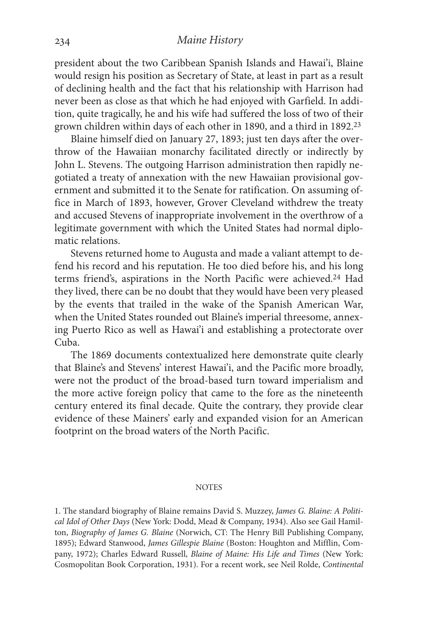#### *Maine History*

president about the two Caribbean Spanish Islands and Hawai'i, Blaine would resign his position as Secretary of State, at least in part as a result of declining health and the fact that his relationship with Harrison had never been as close as that which he had enjoyed with Garfield. In addition, quite tragically, he and his wife had suffered the loss of two of their grown children within days of each other in 1890, and a third in 1892. 23

Blaine himself died on January 27, 1893; just ten days after the overthrow of the Hawaiian monarchy facilitated directly or indirectly by John L. Stevens. The outgoing Harrison administration then rapidly negotiated a treaty of annexation with the new Hawaiian provisional government and submitted it to the Senate for ratification. On assuming office in March of 1893, however, Grover Cleveland withdrew the treaty and accused Stevens of inappropriate involvement in the overthrow of a legitimate government with which the United States had normal diplomatic relations.

Stevens returned home to Augusta and made a valiant attempt to defend his record and his reputation. He too died before his, and his long terms friend's, aspirations in the North Pacific were achieved. 24 Had they lived, there can be no doubt that they would have been very pleased by the events that trailed in the wake of the Spanish American War, when the United States rounded out Blaine's imperial threesome, annexing Puerto Rico as well as Hawai'i and establishing a protectorate over Cuba.

The 1869 documents contextualized here demonstrate quite clearly that Blaine's and Stevens' interest Hawai'i, and the Pacific more broadly, were not the product of the broad-based turn toward imperialism and the more active foreign policy that came to the fore as the nineteenth century entered its final decade. Quite the contrary, they provide clear evidence of these Mainers' early and expanded vision for an American footprint on the broad waters of the North Pacific.

#### **NOTES**

1. The standard biography of Blaine remains David S. Muzzey, *James G. Blaine: A Political Idol of Other Days* (New York: Dodd, Mead & Company, 1934). Also see Gail Hamilton, *Biography of James G. Blaine* (Norwich, CT: The Henry Bill Publishing Company, 1895); Edward Stanwood, *James Gillespie Blaine* (Boston: Houghton and Mifflin, Company, 1972); Charles Edward Russell, *Blaine of Maine: His Life and Times* (New York: Cosmopolitan Book Corporation, 1931). For a recent work, see Neil Rolde, *Continental*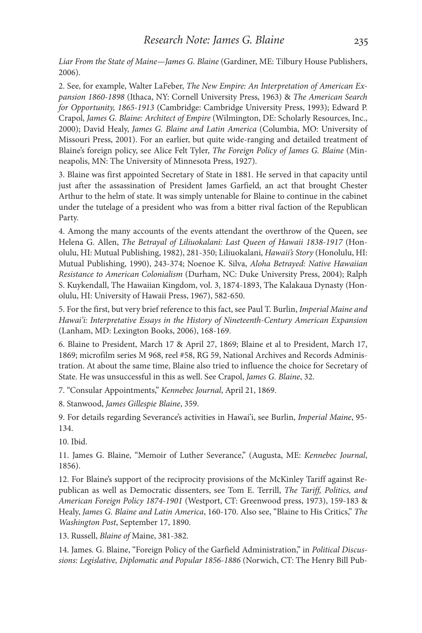*Liar From the State of Maine—James G. Blaine* (Gardiner, ME: Tilbury House Publishers, 2006).

2. See, for example, Walter LaFeber, *The New Empire: An Interpretation of American Expansion 1860-1898* (Ithaca, NY: Cornell University Press, 1963) & *The American Search for Opportunity, 1865-1913* (Cambridge: Cambridge University Press, 1993); Edward P. Crapol, *James G. Blaine: Architect of Empire* (Wilmington, DE: Scholarly Resources, Inc., 2000); David Healy, *James G. Blaine and Latin America* (Columbia, MO: University of Missouri Press, 2001). For an earlier, but quite wide-ranging and detailed treatment of Blaine's foreign policy, see Alice Felt Tyler, *The Foreign Policy of James G. Blaine* (Minneapolis, MN: The University of Minnesota Press, 1927).

3. Blaine was first appointed Secretary of State in 1881. He served in that capacity until just after the assassination of President James Garfield, an act that brought Chester Arthur to the helm of state. It was simply untenable for Blaine to continue in the cabinet under the tutelage of a president who was from a bitter rival faction of the Republican Party.

4. Among the many accounts of the events attendant the overthrow of the Queen, see Helena G. Allen, *The Betrayal of Liliuokalani: Last Queen of Hawaii 1838-1917* (Honolulu, HI: Mutual Publishing, 1982), 281-350; Liliuokalani, *Hawaii's Story* (Honolulu, HI: Mutual Publishing, 1990), 243-374; Noenoe K. Silva, *Aloha Betrayed: Native Hawaiian Resistance to American Colonialism* (Durham, NC: Duke University Press, 2004); Ralph S. Kuykendall, The Hawaiian Kingdom, vol. 3, 1874-1893, The Kalakaua Dynasty (Honolulu, HI: University of Hawaii Press, 1967), 582-650.

5. For the first, but very brief reference to this fact, see Paul T. Burlin, *Imperial Maine and Hawai'i: Interpretative Essays in the History of Nineteenth-Century American Expansion* (Lanham, MD: Lexington Books, 2006), 168-169.

6. Blaine to President, March 17 & April 27, 1869; Blaine et al to President, March 17, 1869; microfilm series M 968, reel #58, RG 59, National Archives and Records Administration. At about the same time, Blaine also tried to influence the choice for Secretary of State. He was unsuccessful in this as well. See Crapol, *James G. Blaine*, 32.

7. "Consular Appointments," *Kennebec Journal*, April 21, 1869.

8. Stanwood, *James Gillespie Blaine*, 359.

9. For details regarding Severance's activities in Hawai'i, see Burlin, *Imperial Maine*, 95- 134.

10. Ibid.

11. James G. Blaine, "Memoir of Luther Severance," (Augusta, ME: *Kennebec Journal*, 1856).

12. For Blaine's support of the reciprocity provisions of the McKinley Tariff against Republican as well as Democratic dissenters, see Tom E. Terrill, *The Tariff, Politics, and American Foreign Policy 1874-1901* (Westport, CT: Greenwood press, 1973), 159-183 & Healy, *James G. Blaine and Latin America*, 160-170. Also see, "Blaine to His Critics," *The Washington Post*, September 17, 1890.

13. Russell, *Blaine of* Maine, 381-382.

14. James. G. Blaine, "Foreign Policy of the Garfield Administration," in *Political Discussions: Legislative, Diplomatic and Popular 1856-1886* (Norwich, CT: The Henry Bill Pub